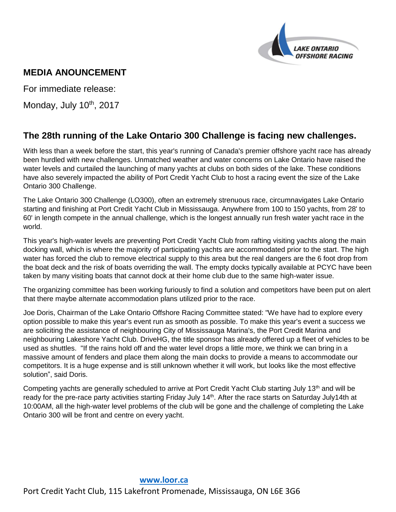

# **MEDIA ANOUNCEMENT**

For immediate release:

Monday, July 10<sup>th</sup>, 2017

## **The 28th running of the Lake Ontario 300 Challenge is facing new challenges.**

With less than a week before the start, this year's running of Canada's premier offshore yacht race has already been hurdled with new challenges. Unmatched weather and water concerns on Lake Ontario have raised the water levels and curtailed the launching of many yachts at clubs on both sides of the lake. These conditions have also severely impacted the ability of Port Credit Yacht Club to host a racing event the size of the Lake Ontario 300 Challenge.

The Lake Ontario 300 Challenge (LO300), often an extremely strenuous race, circumnavigates Lake Ontario starting and finishing at Port Credit Yacht Club in Mississauga. Anywhere from 100 to 150 yachts, from 28' to 60' in length compete in the annual challenge, which is the longest annually run fresh water yacht race in the world.

This year's high-water levels are preventing Port Credit Yacht Club from rafting visiting yachts along the main docking wall, which is where the majority of participating yachts are accommodated prior to the start. The high water has forced the club to remove electrical supply to this area but the real dangers are the 6 foot drop from the boat deck and the risk of boats overriding the wall. The empty docks typically available at PCYC have been taken by many visiting boats that cannot dock at their home club due to the same high-water issue.

The organizing committee has been working furiously to find a solution and competitors have been put on alert that there maybe alternate accommodation plans utilized prior to the race.

Joe Doris, Chairman of the Lake Ontario Offshore Racing Committee stated: "We have had to explore every option possible to make this year's event run as smooth as possible. To make this year's event a success we are soliciting the assistance of neighbouring City of Mississauga Marina's, the Port Credit Marina and neighbouring Lakeshore Yacht Club. DriveHG, the title sponsor has already offered up a fleet of vehicles to be used as shuttles. "If the rains hold off and the water level drops a little more, we think we can bring in a massive amount of fenders and place them along the main docks to provide a means to accommodate our competitors. It is a huge expense and is still unknown whether it will work, but looks like the most effective solution", said Doris.

Competing yachts are generally scheduled to arrive at Port Credit Yacht Club starting July 13<sup>th</sup> and will be ready for the pre-race party activities starting Friday July 14<sup>th</sup>. After the race starts on Saturday July14th at 10:00AM, all the high-water level problems of the club will be gone and the challenge of completing the Lake Ontario 300 will be front and centre on every yacht.